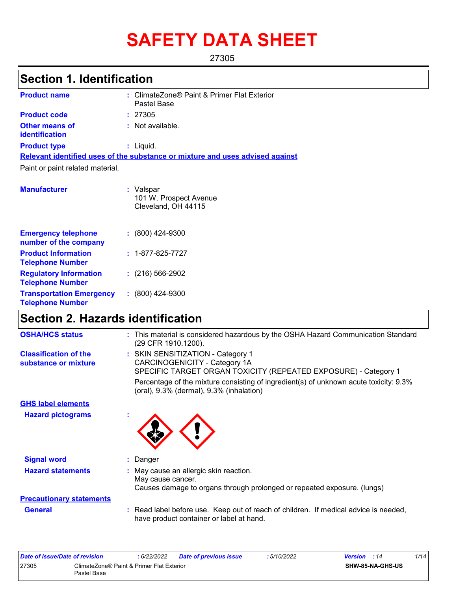# **SAFETY DATA SHEET**

27305

# **Section 1. Identification**

| <b>Product name</b>                     | : ClimateZone® Paint & Primer Flat Exterior<br>Pastel Base                    |
|-----------------------------------------|-------------------------------------------------------------------------------|
| <b>Product code</b>                     | : 27305                                                                       |
| <b>Other means of</b><br>identification | : Not available.                                                              |
| <b>Product type</b>                     | : Liquid.                                                                     |
|                                         | Relevant identified uses of the substance or mixture and uses advised against |
| Paint or paint related material.        |                                                                               |
| <b>Manufacturer</b>                     | : Valspar<br>101 W. Prospect Avenue<br>Cleveland, OH 44115                    |
| For a verso arrival and a vers          |                                                                               |

|                                                            | 0.0.0.0.10.0.1 0         |
|------------------------------------------------------------|--------------------------|
| <b>Emergency telephone</b><br>number of the company        | $: (800)$ 424-9300       |
| <b>Product Information</b><br><b>Telephone Number</b>      | $: 1 - 877 - 825 - 7727$ |
| <b>Regulatory Information</b><br><b>Telephone Number</b>   | $(216)$ 566-2902         |
| <b>Transportation Emergency</b><br><b>Telephone Number</b> | $(800)$ 424-9300         |

# **Section 2. Hazards identification**

| <b>OSHA/HCS status</b>                               | : This material is considered hazardous by the OSHA Hazard Communication Standard<br>(29 CFR 1910.1200).                               |
|------------------------------------------------------|----------------------------------------------------------------------------------------------------------------------------------------|
| <b>Classification of the</b><br>substance or mixture | : SKIN SENSITIZATION - Category 1<br>CARCINOGENICITY - Category 1A<br>SPECIFIC TARGET ORGAN TOXICITY (REPEATED EXPOSURE) - Category 1  |
|                                                      | Percentage of the mixture consisting of ingredient(s) of unknown acute toxicity: 9.3%<br>(oral), 9.3% (dermal), 9.3% (inhalation)      |
| <b>GHS label elements</b>                            |                                                                                                                                        |
| <b>Hazard pictograms</b>                             |                                                                                                                                        |
| <b>Signal word</b>                                   | : Danger                                                                                                                               |
| <b>Hazard statements</b>                             | : May cause an allergic skin reaction.<br>May cause cancer.<br>Causes damage to organs through prolonged or repeated exposure. (lungs) |
| <b>Precautionary statements</b>                      |                                                                                                                                        |
| <b>General</b>                                       | : Read label before use. Keep out of reach of children. If medical advice is needed,<br>have product container or label at hand.       |
|                                                      |                                                                                                                                        |

|                                                    | Date of issue/Date of revision | : 6/22/2022 | Date of previous issue  | : 5/10/2022 | <b>Version</b> : 14 | 1/14 |
|----------------------------------------------------|--------------------------------|-------------|-------------------------|-------------|---------------------|------|
| 27305<br>ClimateZone® Paint & Primer Flat Exterior |                                |             | <b>SHW-85-NA-GHS-US</b> |             |                     |      |
|                                                    | Pastel Base                    |             |                         |             |                     |      |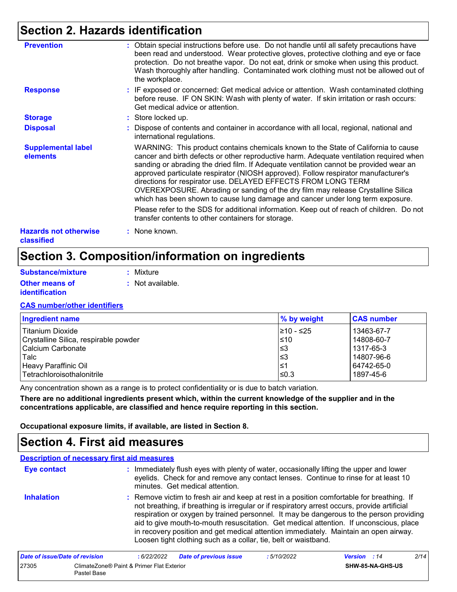### **Section 2. Hazards identification**

| <b>Prevention</b>                          | : Obtain special instructions before use. Do not handle until all safety precautions have<br>been read and understood. Wear protective gloves, protective clothing and eye or face<br>protection. Do not breathe vapor. Do not eat, drink or smoke when using this product.<br>Wash thoroughly after handling. Contaminated work clothing must not be allowed out of<br>the workplace.                                                                                                                                                                                                               |
|--------------------------------------------|------------------------------------------------------------------------------------------------------------------------------------------------------------------------------------------------------------------------------------------------------------------------------------------------------------------------------------------------------------------------------------------------------------------------------------------------------------------------------------------------------------------------------------------------------------------------------------------------------|
| <b>Response</b>                            | : IF exposed or concerned: Get medical advice or attention. Wash contaminated clothing<br>before reuse. IF ON SKIN: Wash with plenty of water. If skin irritation or rash occurs:<br>Get medical advice or attention.                                                                                                                                                                                                                                                                                                                                                                                |
| <b>Storage</b>                             | : Store locked up.                                                                                                                                                                                                                                                                                                                                                                                                                                                                                                                                                                                   |
| <b>Disposal</b>                            | : Dispose of contents and container in accordance with all local, regional, national and<br>international regulations.                                                                                                                                                                                                                                                                                                                                                                                                                                                                               |
| <b>Supplemental label</b><br>elements      | WARNING: This product contains chemicals known to the State of California to cause<br>cancer and birth defects or other reproductive harm. Adequate ventilation required when<br>sanding or abrading the dried film. If Adequate ventilation cannot be provided wear an<br>approved particulate respirator (NIOSH approved). Follow respirator manufacturer's<br>directions for respirator use. DELAYED EFFECTS FROM LONG TERM<br>OVEREXPOSURE. Abrading or sanding of the dry film may release Crystalline Silica<br>which has been shown to cause lung damage and cancer under long term exposure. |
|                                            | Please refer to the SDS for additional information. Keep out of reach of children. Do not<br>transfer contents to other containers for storage.                                                                                                                                                                                                                                                                                                                                                                                                                                                      |
| <b>Hazards not otherwise</b><br>classified | : None known.                                                                                                                                                                                                                                                                                                                                                                                                                                                                                                                                                                                        |

### **Section 3. Composition/information on ingredients**

| Substance/mixture     | : Mixture        |
|-----------------------|------------------|
| <b>Other means of</b> | : Not available. |
| <i>identification</i> |                  |

#### **CAS number/other identifiers**

| <b>Ingredient name</b>                | % by weight | <b>CAS number</b> |
|---------------------------------------|-------------|-------------------|
| <b>Titanium Dioxide</b>               | 1≥10 - ≤25  | 13463-67-7        |
| Crystalline Silica, respirable powder | $\leq 10$   | 14808-60-7        |
| Calcium Carbonate                     | l≤3         | 1317-65-3         |
| Talc                                  | l≤3         | 14807-96-6        |
| Heavy Paraffinic Oil                  | ו≥ا         | 64742-65-0        |
| l Tetrachloroisothalonitrile          | 1≤0.3       | 1897-45-6         |

Any concentration shown as a range is to protect confidentiality or is due to batch variation.

**There are no additional ingredients present which, within the current knowledge of the supplier and in the concentrations applicable, are classified and hence require reporting in this section.**

**Occupational exposure limits, if available, are listed in Section 8.**

### **Section 4. First aid measures**

### **Description of necessary first aid measures**

27305 ClimateZone® Paint & Primer Flat Exterior Pastel Base

| <b>Eye contact</b>                    |            | : Immediately flush eyes with plenty of water, occasionally lifting the upper and lower<br>eyelids. Check for and remove any contact lenses. Continue to rinse for at least 10<br>minutes. Get medical attention.                                                                                                                                                                                                                                                                                                                         |             |                     |      |
|---------------------------------------|------------|-------------------------------------------------------------------------------------------------------------------------------------------------------------------------------------------------------------------------------------------------------------------------------------------------------------------------------------------------------------------------------------------------------------------------------------------------------------------------------------------------------------------------------------------|-------------|---------------------|------|
| <b>Inhalation</b>                     |            | : Remove victim to fresh air and keep at rest in a position comfortable for breathing. If<br>not breathing, if breathing is irregular or if respiratory arrest occurs, provide artificial<br>respiration or oxygen by trained personnel. It may be dangerous to the person providing<br>aid to give mouth-to-mouth resuscitation. Get medical attention. If unconscious, place<br>in recovery position and get medical attention immediately. Maintain an open airway.<br>Loosen tight clothing such as a collar, tie, belt or waistband. |             |                     |      |
| <b>Date of issue/Date of revision</b> | :6/22/2022 | <b>Date of previous issue</b>                                                                                                                                                                                                                                                                                                                                                                                                                                                                                                             | : 5/10/2022 | <b>Version</b> : 14 | 2/14 |

**SHW-85-NA-GHS-US**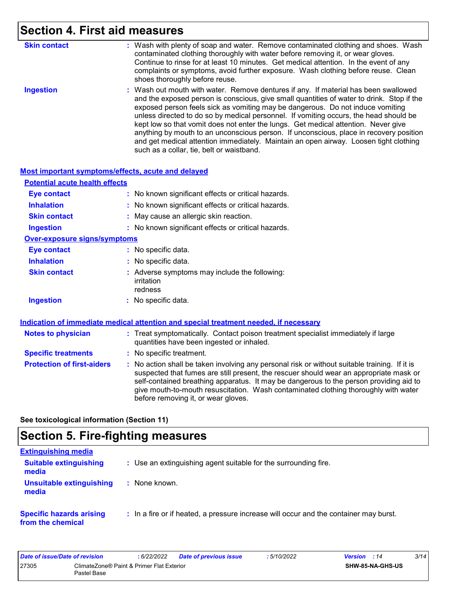# **Section 4. First aid measures**

| <b>Skin contact</b> | : Wash with plenty of soap and water. Remove contaminated clothing and shoes. Wash<br>contaminated clothing thoroughly with water before removing it, or wear gloves.<br>Continue to rinse for at least 10 minutes. Get medical attention. In the event of any<br>complaints or symptoms, avoid further exposure. Wash clothing before reuse. Clean<br>shoes thoroughly before reuse.                                                                                                                                                                                                                                                                                             |
|---------------------|-----------------------------------------------------------------------------------------------------------------------------------------------------------------------------------------------------------------------------------------------------------------------------------------------------------------------------------------------------------------------------------------------------------------------------------------------------------------------------------------------------------------------------------------------------------------------------------------------------------------------------------------------------------------------------------|
| <b>Ingestion</b>    | : Wash out mouth with water. Remove dentures if any. If material has been swallowed<br>and the exposed person is conscious, give small quantities of water to drink. Stop if the<br>exposed person feels sick as vomiting may be dangerous. Do not induce vomiting<br>unless directed to do so by medical personnel. If vomiting occurs, the head should be<br>kept low so that vomit does not enter the lungs. Get medical attention. Never give<br>anything by mouth to an unconscious person. If unconscious, place in recovery position<br>and get medical attention immediately. Maintain an open airway. Loosen tight clothing<br>such as a collar, tie, belt or waistband. |

#### **Most important symptoms/effects, acute and delayed**

| <b>Potential acute health effects</b> |                                                                                      |
|---------------------------------------|--------------------------------------------------------------------------------------|
| <b>Eye contact</b>                    | : No known significant effects or critical hazards.                                  |
| <b>Inhalation</b>                     | : No known significant effects or critical hazards.                                  |
| <b>Skin contact</b>                   | : May cause an allergic skin reaction.                                               |
| <b>Ingestion</b>                      | : No known significant effects or critical hazards.                                  |
| <b>Over-exposure signs/symptoms</b>   |                                                                                      |
| <b>Eye contact</b>                    | : No specific data.                                                                  |
| <b>Inhalation</b>                     | : No specific data.                                                                  |
| <b>Skin contact</b>                   | : Adverse symptoms may include the following:<br>irritation<br>redness               |
| <b>Ingestion</b>                      | : No specific data.                                                                  |
|                                       | Indication of immediate medical attention and special treatment needed, if necessary |

| <b>Notes to physician</b>         | : Treat symptomatically. Contact poison treatment specialist immediately if large<br>quantities have been ingested or inhaled.                                                                                                                                                                                                                                                                                  |
|-----------------------------------|-----------------------------------------------------------------------------------------------------------------------------------------------------------------------------------------------------------------------------------------------------------------------------------------------------------------------------------------------------------------------------------------------------------------|
| <b>Specific treatments</b>        | : No specific treatment.                                                                                                                                                                                                                                                                                                                                                                                        |
| <b>Protection of first-aiders</b> | : No action shall be taken involving any personal risk or without suitable training. If it is<br>suspected that fumes are still present, the rescuer should wear an appropriate mask or<br>self-contained breathing apparatus. It may be dangerous to the person providing aid to<br>give mouth-to-mouth resuscitation. Wash contaminated clothing thoroughly with water<br>before removing it, or wear gloves. |

**See toxicological information (Section 11)**

### **Section 5. Fire-fighting measures**

| <b>Extinguishing media</b>                           |                                                                                       |
|------------------------------------------------------|---------------------------------------------------------------------------------------|
| <b>Suitable extinguishing</b><br>media               | : Use an extinguishing agent suitable for the surrounding fire.                       |
| <b>Unsuitable extinguishing</b><br>media             | : None known.                                                                         |
| <b>Specific hazards arising</b><br>from the chemical | : In a fire or if heated, a pressure increase will occur and the container may burst. |

| Date of issue/Date of revision |                                                          | : 6/22/2022 | <b>Date of previous issue</b> | : 5/10/2022 | <b>Version</b> : 14 |                         | 3/14 |
|--------------------------------|----------------------------------------------------------|-------------|-------------------------------|-------------|---------------------|-------------------------|------|
| 27305                          | ClimateZone® Paint & Primer Flat Exterior<br>Pastel Base |             |                               |             |                     | <b>SHW-85-NA-GHS-US</b> |      |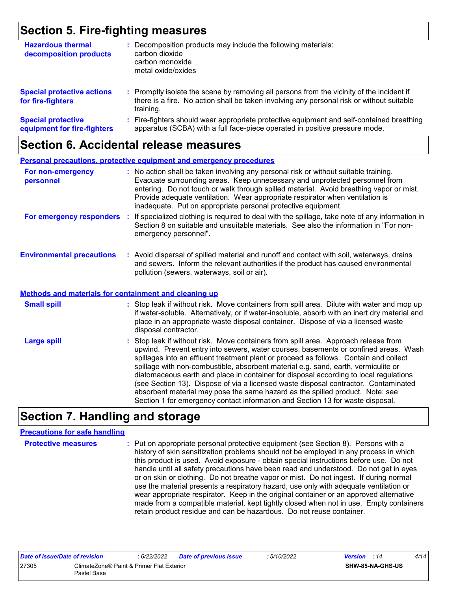### **Section 5. Fire-fighting measures**

| <b>Hazardous thermal</b><br>decomposition products       | Decomposition products may include the following materials:<br>carbon dioxide<br>carbon monoxide<br>metal oxide/oxides                                                                              |
|----------------------------------------------------------|-----------------------------------------------------------------------------------------------------------------------------------------------------------------------------------------------------|
| <b>Special protective actions</b><br>for fire-fighters   | : Promptly isolate the scene by removing all persons from the vicinity of the incident if<br>there is a fire. No action shall be taken involving any personal risk or without suitable<br>training. |
| <b>Special protective</b><br>equipment for fire-fighters | : Fire-fighters should wear appropriate protective equipment and self-contained breathing<br>apparatus (SCBA) with a full face-piece operated in positive pressure mode.                            |

### **Section 6. Accidental release measures**

|                                                              | <b>Personal precautions, protective equipment and emergency procedures</b>                                                                                                                                                                                                                                                                                                                                                                                                                                                                                                                                                                                                                                   |
|--------------------------------------------------------------|--------------------------------------------------------------------------------------------------------------------------------------------------------------------------------------------------------------------------------------------------------------------------------------------------------------------------------------------------------------------------------------------------------------------------------------------------------------------------------------------------------------------------------------------------------------------------------------------------------------------------------------------------------------------------------------------------------------|
| For non-emergency<br>personnel                               | : No action shall be taken involving any personal risk or without suitable training.<br>Evacuate surrounding areas. Keep unnecessary and unprotected personnel from<br>entering. Do not touch or walk through spilled material. Avoid breathing vapor or mist.<br>Provide adequate ventilation. Wear appropriate respirator when ventilation is<br>inadequate. Put on appropriate personal protective equipment.                                                                                                                                                                                                                                                                                             |
| For emergency responders                                     | : If specialized clothing is required to deal with the spillage, take note of any information in<br>Section 8 on suitable and unsuitable materials. See also the information in "For non-<br>emergency personnel".                                                                                                                                                                                                                                                                                                                                                                                                                                                                                           |
| <b>Environmental precautions</b>                             | : Avoid dispersal of spilled material and runoff and contact with soil, waterways, drains<br>and sewers. Inform the relevant authorities if the product has caused environmental<br>pollution (sewers, waterways, soil or air).                                                                                                                                                                                                                                                                                                                                                                                                                                                                              |
| <b>Methods and materials for containment and cleaning up</b> |                                                                                                                                                                                                                                                                                                                                                                                                                                                                                                                                                                                                                                                                                                              |
| <b>Small spill</b>                                           | : Stop leak if without risk. Move containers from spill area. Dilute with water and mop up<br>if water-soluble. Alternatively, or if water-insoluble, absorb with an inert dry material and<br>place in an appropriate waste disposal container. Dispose of via a licensed waste<br>disposal contractor.                                                                                                                                                                                                                                                                                                                                                                                                     |
| <b>Large spill</b>                                           | : Stop leak if without risk. Move containers from spill area. Approach release from<br>upwind. Prevent entry into sewers, water courses, basements or confined areas. Wash<br>spillages into an effluent treatment plant or proceed as follows. Contain and collect<br>spillage with non-combustible, absorbent material e.g. sand, earth, vermiculite or<br>diatomaceous earth and place in container for disposal according to local regulations<br>(see Section 13). Dispose of via a licensed waste disposal contractor. Contaminated<br>absorbent material may pose the same hazard as the spilled product. Note: see<br>Section 1 for emergency contact information and Section 13 for waste disposal. |

### **Section 7. Handling and storage**

#### **Precautions for safe handling**

**Protective measures :** Put on appropriate personal protective equipment (see Section 8). Persons with a history of skin sensitization problems should not be employed in any process in which this product is used. Avoid exposure - obtain special instructions before use. Do not handle until all safety precautions have been read and understood. Do not get in eyes or on skin or clothing. Do not breathe vapor or mist. Do not ingest. If during normal use the material presents a respiratory hazard, use only with adequate ventilation or wear appropriate respirator. Keep in the original container or an approved alternative made from a compatible material, kept tightly closed when not in use. Empty containers retain product residue and can be hazardous. Do not reuse container.

| Date of issue/Date of revision |                                                          | : 6/22/2022 | <b>Date of previous issue</b> | 5/10/2022 | <b>Version</b> : 14     | 4/14 |
|--------------------------------|----------------------------------------------------------|-------------|-------------------------------|-----------|-------------------------|------|
| 27305                          | ClimateZone® Paint & Primer Flat Exterior<br>Pastel Base |             |                               |           | <b>SHW-85-NA-GHS-US</b> |      |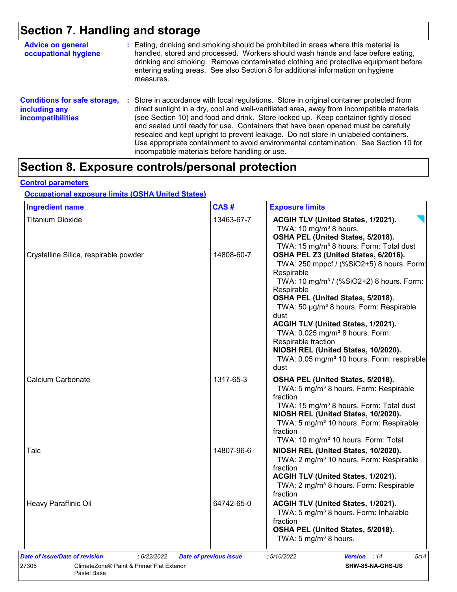# **Section 7. Handling and storage**

| <b>Advice on general</b><br>occupational hygiene                                 | : Eating, drinking and smoking should be prohibited in areas where this material is<br>handled, stored and processed. Workers should wash hands and face before eating,<br>drinking and smoking. Remove contaminated clothing and protective equipment before<br>entering eating areas. See also Section 8 for additional information on hygiene<br>measures.                                                                                                                                                                                                                                       |
|----------------------------------------------------------------------------------|-----------------------------------------------------------------------------------------------------------------------------------------------------------------------------------------------------------------------------------------------------------------------------------------------------------------------------------------------------------------------------------------------------------------------------------------------------------------------------------------------------------------------------------------------------------------------------------------------------|
| <b>Conditions for safe storage,</b><br>including any<br><b>incompatibilities</b> | : Store in accordance with local regulations. Store in original container protected from<br>direct sunlight in a dry, cool and well-ventilated area, away from incompatible materials<br>(see Section 10) and food and drink. Store locked up. Keep container tightly closed<br>and sealed until ready for use. Containers that have been opened must be carefully<br>resealed and kept upright to prevent leakage. Do not store in unlabeled containers.<br>Use appropriate containment to avoid environmental contamination. See Section 10 for<br>incompatible materials before handling or use. |

# **Section 8. Exposure controls/personal protection**

#### **Control parameters**

#### **Occupational exposure limits (OSHA United States)**

| <b>Ingredient name</b>                | CAS#       | <b>Exposure limits</b>                                                                                                                                                                                                                                                                                                                                                                                                                                                                         |
|---------------------------------------|------------|------------------------------------------------------------------------------------------------------------------------------------------------------------------------------------------------------------------------------------------------------------------------------------------------------------------------------------------------------------------------------------------------------------------------------------------------------------------------------------------------|
| <b>Titanium Dioxide</b>               | 13463-67-7 | ACGIH TLV (United States, 1/2021).<br>TWA: 10 mg/m <sup>3</sup> 8 hours.<br>OSHA PEL (United States, 5/2018).<br>TWA: 15 mg/m <sup>3</sup> 8 hours. Form: Total dust                                                                                                                                                                                                                                                                                                                           |
| Crystalline Silica, respirable powder | 14808-60-7 | OSHA PEL Z3 (United States, 6/2016).<br>TWA: 250 mppcf / (%SiO2+5) 8 hours. Form:<br>Respirable<br>TWA: 10 mg/m <sup>3</sup> / (%SiO2+2) 8 hours. Form:<br>Respirable<br>OSHA PEL (United States, 5/2018).<br>TWA: 50 µg/m <sup>3</sup> 8 hours. Form: Respirable<br>dust<br>ACGIH TLV (United States, 1/2021).<br>TWA: 0.025 mg/m <sup>3</sup> 8 hours. Form:<br>Respirable fraction<br>NIOSH REL (United States, 10/2020).<br>TWA: 0.05 mg/m <sup>3</sup> 10 hours. Form: respirable<br>dust |
| Calcium Carbonate                     | 1317-65-3  | OSHA PEL (United States, 5/2018).<br>TWA: 5 mg/m <sup>3</sup> 8 hours. Form: Respirable<br>fraction<br>TWA: 15 mg/m <sup>3</sup> 8 hours. Form: Total dust<br>NIOSH REL (United States, 10/2020).<br>TWA: 5 mg/m <sup>3</sup> 10 hours. Form: Respirable<br>fraction<br>TWA: 10 mg/m <sup>3</sup> 10 hours. Form: Total                                                                                                                                                                        |
| Talc                                  | 14807-96-6 | NIOSH REL (United States, 10/2020).<br>TWA: 2 mg/m <sup>3</sup> 10 hours. Form: Respirable<br>fraction<br>ACGIH TLV (United States, 1/2021).<br>TWA: 2 mg/m <sup>3</sup> 8 hours. Form: Respirable<br>fraction                                                                                                                                                                                                                                                                                 |
| Heavy Paraffinic Oil                  | 64742-65-0 | ACGIH TLV (United States, 1/2021).<br>TWA: 5 mg/m <sup>3</sup> 8 hours. Form: Inhalable<br>fraction<br>OSHA PEL (United States, 5/2018).<br>TWA: 5 mg/m <sup>3</sup> 8 hours.                                                                                                                                                                                                                                                                                                                  |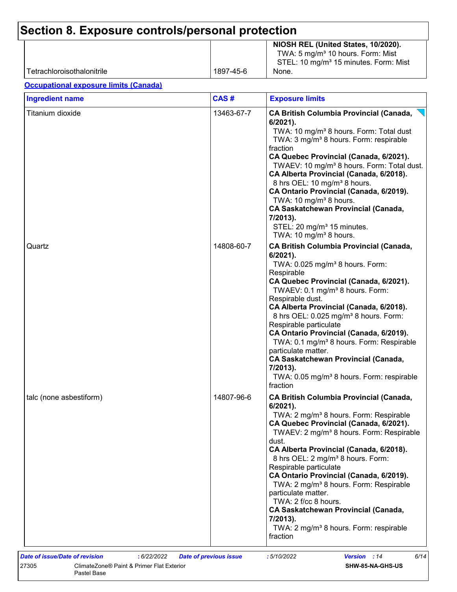| Tetrachloroisothalonitrile                   | 1897-45-6  | NIOSH REL (United States, 10/2020).<br>TWA: 5 mg/m <sup>3</sup> 10 hours. Form: Mist<br>STEL: 10 mg/m <sup>3</sup> 15 minutes. Form: Mist<br>None.                                                                                                                                                                                                                                                                                                                                                                                                                                                                               |
|----------------------------------------------|------------|----------------------------------------------------------------------------------------------------------------------------------------------------------------------------------------------------------------------------------------------------------------------------------------------------------------------------------------------------------------------------------------------------------------------------------------------------------------------------------------------------------------------------------------------------------------------------------------------------------------------------------|
| <b>Occupational exposure limits (Canada)</b> |            |                                                                                                                                                                                                                                                                                                                                                                                                                                                                                                                                                                                                                                  |
| <b>Ingredient name</b>                       | CAS#       | <b>Exposure limits</b>                                                                                                                                                                                                                                                                                                                                                                                                                                                                                                                                                                                                           |
| Titanium dioxide                             | 13463-67-7 | <b>CA British Columbia Provincial (Canada,</b><br>$6/2021$ ).<br>TWA: 10 mg/m <sup>3</sup> 8 hours. Form: Total dust<br>TWA: 3 mg/m <sup>3</sup> 8 hours. Form: respirable<br>fraction<br>CA Quebec Provincial (Canada, 6/2021).<br>TWAEV: 10 mg/m <sup>3</sup> 8 hours. Form: Total dust.<br>CA Alberta Provincial (Canada, 6/2018).<br>8 hrs OEL: 10 mg/m <sup>3</sup> 8 hours.<br>CA Ontario Provincial (Canada, 6/2019).<br>TWA: 10 mg/m <sup>3</sup> 8 hours.<br><b>CA Saskatchewan Provincial (Canada,</b><br>7/2013).<br>STEL: 20 mg/m <sup>3</sup> 15 minutes.<br>TWA: 10 mg/m <sup>3</sup> 8 hours.                     |
| Quartz                                       | 14808-60-7 | <b>CA British Columbia Provincial (Canada,</b><br>$6/2021$ ).<br>TWA: 0.025 mg/m <sup>3</sup> 8 hours. Form:<br>Respirable<br>CA Quebec Provincial (Canada, 6/2021).<br>TWAEV: 0.1 mg/m <sup>3</sup> 8 hours. Form:<br>Respirable dust.<br>CA Alberta Provincial (Canada, 6/2018).<br>8 hrs OEL: 0.025 mg/m <sup>3</sup> 8 hours. Form:<br>Respirable particulate<br>CA Ontario Provincial (Canada, 6/2019).<br>TWA: 0.1 mg/m <sup>3</sup> 8 hours. Form: Respirable<br>particulate matter.<br><b>CA Saskatchewan Provincial (Canada,</b><br>7/2013).<br>TWA: 0.05 mg/m <sup>3</sup> 8 hours. Form: respirable<br>fraction       |
| talc (none asbestiform)                      | 14807-96-6 | <b>CA British Columbia Provincial (Canada,</b><br>$6/2021$ ).<br>TWA: 2 mg/m <sup>3</sup> 8 hours. Form: Respirable<br>CA Quebec Provincial (Canada, 6/2021).<br>TWAEV: 2 mg/m <sup>3</sup> 8 hours. Form: Respirable<br>dust.<br>CA Alberta Provincial (Canada, 6/2018).<br>8 hrs OEL: 2 mg/m <sup>3</sup> 8 hours. Form:<br>Respirable particulate<br>CA Ontario Provincial (Canada, 6/2019).<br>TWA: 2 mg/m <sup>3</sup> 8 hours. Form: Respirable<br>particulate matter.<br>TWA: 2 f/cc 8 hours.<br><b>CA Saskatchewan Provincial (Canada,</b><br>7/2013).<br>TWA: 2 mg/m <sup>3</sup> 8 hours. Form: respirable<br>fraction |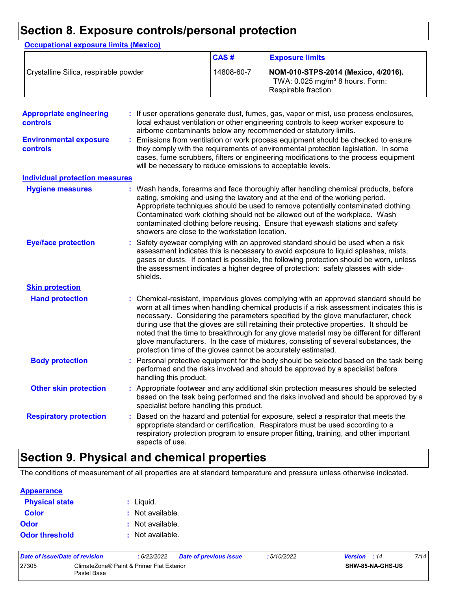### **Section 8. Exposure controls/personal protection**

|                                            |                        | CAS#                                                                                                                                                                                                                                                                                                                                                 | <b>Exposure limits</b>                                                                                                                                                                                                                                                                                                                                                                                                                                                                                                                                                                                                 |  |
|--------------------------------------------|------------------------|------------------------------------------------------------------------------------------------------------------------------------------------------------------------------------------------------------------------------------------------------------------------------------------------------------------------------------------------------|------------------------------------------------------------------------------------------------------------------------------------------------------------------------------------------------------------------------------------------------------------------------------------------------------------------------------------------------------------------------------------------------------------------------------------------------------------------------------------------------------------------------------------------------------------------------------------------------------------------------|--|
| Crystalline Silica, respirable powder      |                        | 14808-60-7                                                                                                                                                                                                                                                                                                                                           | NOM-010-STPS-2014 (Mexico, 4/2016).<br>TWA: 0.025 mg/m <sup>3</sup> 8 hours. Form:<br>Respirable fraction                                                                                                                                                                                                                                                                                                                                                                                                                                                                                                              |  |
| <b>Appropriate engineering</b><br>controls |                        |                                                                                                                                                                                                                                                                                                                                                      | If user operations generate dust, fumes, gas, vapor or mist, use process enclosures,<br>local exhaust ventilation or other engineering controls to keep worker exposure to<br>airborne contaminants below any recommended or statutory limits.                                                                                                                                                                                                                                                                                                                                                                         |  |
| <b>Environmental exposure</b><br>controls  |                        | will be necessary to reduce emissions to acceptable levels.                                                                                                                                                                                                                                                                                          | Emissions from ventilation or work process equipment should be checked to ensure<br>they comply with the requirements of environmental protection legislation. In some<br>cases, fume scrubbers, filters or engineering modifications to the process equipment                                                                                                                                                                                                                                                                                                                                                         |  |
| <b>Individual protection measures</b>      |                        |                                                                                                                                                                                                                                                                                                                                                      |                                                                                                                                                                                                                                                                                                                                                                                                                                                                                                                                                                                                                        |  |
| <b>Hygiene measures</b>                    |                        | showers are close to the workstation location.                                                                                                                                                                                                                                                                                                       | Wash hands, forearms and face thoroughly after handling chemical products, before<br>eating, smoking and using the lavatory and at the end of the working period.<br>Appropriate techniques should be used to remove potentially contaminated clothing.<br>Contaminated work clothing should not be allowed out of the workplace. Wash<br>contaminated clothing before reusing. Ensure that eyewash stations and safety                                                                                                                                                                                                |  |
| <b>Eye/face protection</b>                 | shields.               | Safety eyewear complying with an approved standard should be used when a risk<br>assessment indicates this is necessary to avoid exposure to liquid splashes, mists,<br>gases or dusts. If contact is possible, the following protection should be worn, unless<br>the assessment indicates a higher degree of protection: safety glasses with side- |                                                                                                                                                                                                                                                                                                                                                                                                                                                                                                                                                                                                                        |  |
| <b>Skin protection</b>                     |                        |                                                                                                                                                                                                                                                                                                                                                      |                                                                                                                                                                                                                                                                                                                                                                                                                                                                                                                                                                                                                        |  |
| <b>Hand protection</b>                     |                        |                                                                                                                                                                                                                                                                                                                                                      | : Chemical-resistant, impervious gloves complying with an approved standard should be<br>worn at all times when handling chemical products if a risk assessment indicates this is<br>necessary. Considering the parameters specified by the glove manufacturer, check<br>during use that the gloves are still retaining their protective properties. It should be<br>noted that the time to breakthrough for any glove material may be different for different<br>glove manufacturers. In the case of mixtures, consisting of several substances, the<br>protection time of the gloves cannot be accurately estimated. |  |
| <b>Body protection</b>                     | handling this product. |                                                                                                                                                                                                                                                                                                                                                      | Personal protective equipment for the body should be selected based on the task being<br>performed and the risks involved and should be approved by a specialist before                                                                                                                                                                                                                                                                                                                                                                                                                                                |  |
| <b>Other skin protection</b>               |                        | specialist before handling this product.                                                                                                                                                                                                                                                                                                             | : Appropriate footwear and any additional skin protection measures should be selected<br>based on the task being performed and the risks involved and should be approved by a                                                                                                                                                                                                                                                                                                                                                                                                                                          |  |
| <b>Respiratory protection</b>              | aspects of use.        |                                                                                                                                                                                                                                                                                                                                                      | Based on the hazard and potential for exposure, select a respirator that meets the<br>appropriate standard or certification. Respirators must be used according to a<br>respiratory protection program to ensure proper fitting, training, and other important                                                                                                                                                                                                                                                                                                                                                         |  |

### **Section 9. Physical and chemical properties**

The conditions of measurement of all properties are at standard temperature and pressure unless otherwise indicated.

| <b>Appearance</b>     |                  |
|-----------------------|------------------|
| <b>Physical state</b> | : Liquid.        |
| <b>Color</b>          | : Not available. |
| <b>Odor</b>           | : Not available. |
| <b>Odor threshold</b> | : Not available. |

| Date of issue/Date of revision |                                                          | : 6/22/2022 | <b>Date of previous issue</b> | : 5/10/2022             | <b>Version</b> : 14 | 7/14 |
|--------------------------------|----------------------------------------------------------|-------------|-------------------------------|-------------------------|---------------------|------|
| 27305                          | ClimateZone® Paint & Primer Flat Exterior<br>Pastel Base |             |                               | <b>SHW-85-NA-GHS-US</b> |                     |      |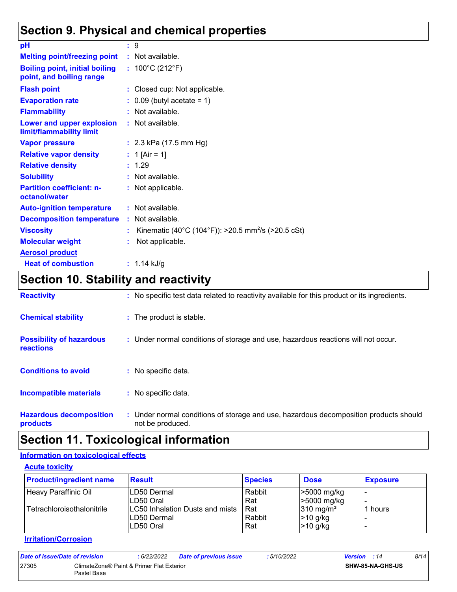### **Section 9. Physical and chemical properties**

| pH                                                                | $\cdot$ 9                                                      |
|-------------------------------------------------------------------|----------------------------------------------------------------|
| <b>Melting point/freezing point</b>                               | : Not available.                                               |
| <b>Boiling point, initial boiling</b><br>point, and boiling range | : $100^{\circ}$ C (212 $^{\circ}$ F)                           |
| <b>Flash point</b>                                                | : Closed cup: Not applicable.                                  |
| <b>Evaporation rate</b>                                           | $\therefore$ 0.09 (butyl acetate = 1)                          |
| <b>Flammability</b>                                               | $:$ Not available.                                             |
| Lower and upper explosion<br>limit/flammability limit             | : Not available.                                               |
| <b>Vapor pressure</b>                                             | : $2.3$ kPa (17.5 mm Hg)                                       |
| <b>Relative vapor density</b>                                     | : 1 [Air = 1]                                                  |
| <b>Relative density</b>                                           | : 1.29                                                         |
| <b>Solubility</b>                                                 | : Not available.                                               |
| <b>Partition coefficient: n-</b><br>octanol/water                 | : Not applicable.                                              |
| <b>Auto-ignition temperature</b>                                  | : Not available.                                               |
| <b>Decomposition temperature</b>                                  | : Not available.                                               |
| <b>Viscosity</b>                                                  | Kinematic (40°C (104°F)): >20.5 mm <sup>2</sup> /s (>20.5 cSt) |
| <b>Molecular weight</b>                                           | Not applicable.                                                |
| <b>Aerosol product</b>                                            |                                                                |
| <b>Heat of combustion</b>                                         | : $1.14$ kJ/g                                                  |

# **Section 10. Stability and reactivity**

| <b>Reactivity</b>                            | : No specific test data related to reactivity available for this product or its ingredients.              |  |
|----------------------------------------------|-----------------------------------------------------------------------------------------------------------|--|
| <b>Chemical stability</b>                    | : The product is stable.                                                                                  |  |
| <b>Possibility of hazardous</b><br>reactions | : Under normal conditions of storage and use, hazardous reactions will not occur.                         |  |
| <b>Conditions to avoid</b>                   | : No specific data.                                                                                       |  |
| Incompatible materials                       | : No specific data.                                                                                       |  |
| <b>Hazardous decomposition</b><br>products   | : Under normal conditions of storage and use, hazardous decomposition products should<br>not be produced. |  |

### **Section 11. Toxicological information**

#### **Information on toxicological effects**

**Acute toxicity**

| <b>Product/ingredient name</b> | <b>Result</b>                                               | <b>Species</b>       | <b>Dose</b>                                      | <b>Exposure</b> |
|--------------------------------|-------------------------------------------------------------|----------------------|--------------------------------------------------|-----------------|
| Heavy Paraffinic Oil           | LD50 Dermal<br>LD50 Oral                                    | Rabbit<br>Rat        | >5000 mg/kg<br>>5000 mg/kg                       |                 |
| Tetrachloroisothalonitrile     | LC50 Inhalation Dusts and mists<br>LD50 Dermal<br>LD50 Oral | Rat<br>Rabbit<br>Rat | $310 \text{ mg/m}^3$<br>$>10$ g/kg<br>$>10$ g/kg | 1 hours         |

#### **Irritation/Corrosion**

| Date of issue/Date of revision |                                                          | : 6/22/2022 | <b>Date of previous issue</b> | : 5/10/2022             | <b>Version</b> : 14 | 8/14 |
|--------------------------------|----------------------------------------------------------|-------------|-------------------------------|-------------------------|---------------------|------|
| 27305                          | ClimateZone® Paint & Primer Flat Exterior<br>Pastel Base |             |                               | <b>SHW-85-NA-GHS-US</b> |                     |      |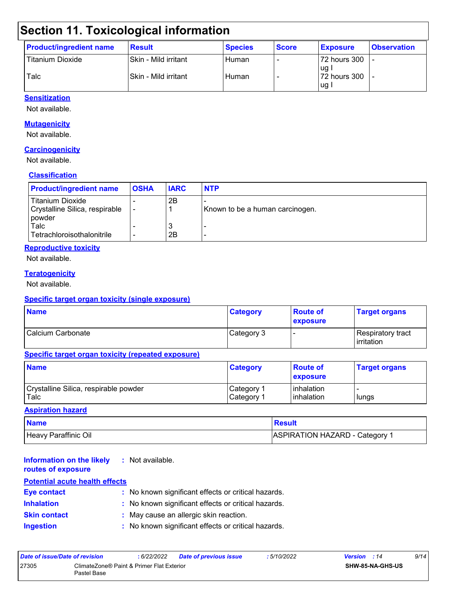# **Section 11. Toxicological information**

| <b>Product/ingredient name</b> | <b>Result</b>        | <b>Species</b> | <b>Score</b> | <b>Exposure</b>        | <b>Observation</b> |
|--------------------------------|----------------------|----------------|--------------|------------------------|--------------------|
| <b>Titanium Dioxide</b>        | Skin - Mild irritant | Human          |              | 72 hours 300           |                    |
| Talc                           | Skin - Mild irritant | Human          |              | lug l<br>172 hours 300 |                    |
|                                |                      |                |              | l ug i                 |                    |

#### **Sensitization**

Not available.

#### **Mutagenicity**

Not available.

#### **Carcinogenicity**

Not available.

#### **Classification**

| <b>Product/ingredient name</b>                                        | <b>OSHA</b> | <b>IARC</b> | <b>NTP</b>                      |
|-----------------------------------------------------------------------|-------------|-------------|---------------------------------|
| <b>Titanium Dioxide</b><br>Crystalline Silica, respirable<br>l powder |             | 2B          | Known to be a human carcinogen. |
| Talc<br>Tetrachloroisothalonitrile                                    |             | N<br>2Β     |                                 |

#### **Reproductive toxicity**

Not available.

#### **Teratogenicity**

Not available.

#### **Specific target organ toxicity (single exposure)**

| <b>Name</b>       | <b>Category</b> | <b>Route of</b><br><b>exposure</b> | <b>Target organs</b>                      |
|-------------------|-----------------|------------------------------------|-------------------------------------------|
| Calcium Carbonate | Category 3      |                                    | Respiratory tract_<br><b>l</b> irritation |

#### **Specific target organ toxicity (repeated exposure)**

| <b>Name</b>                           | <b>Category</b>        | <b>Route of</b><br><b>Lexposure</b> | <b>Target organs</b> |
|---------------------------------------|------------------------|-------------------------------------|----------------------|
| Crystalline Silica, respirable powder | ∣Category 1            | l inhalation                        | lungs                |
| Talc                                  | ⊩Category <sup>≁</sup> | <b>linhalation</b>                  |                      |

#### **Aspiration hazard**

| <b>Name</b>          | Result                         |
|----------------------|--------------------------------|
| Heavy Paraffinic Oil | ASPIRATION HAZARD - Category 1 |

| <b>Information on the likely</b><br>routes of exposure | : Not available.                                    |
|--------------------------------------------------------|-----------------------------------------------------|
| <b>Potential acute health effects</b>                  |                                                     |
| <b>Eye contact</b>                                     | : No known significant effects or critical hazards. |
| <b>Inhalation</b>                                      | : No known significant effects or critical hazards. |
| <b>Skin contact</b>                                    | : May cause an allergic skin reaction.              |
| <b>Ingestion</b>                                       | : No known significant effects or critical hazards. |

| Date of issue/Date of revision                                    |  | 6/22/2022 | <b>Date of previous issue</b> | : 5/10/2022 | <b>Version</b> : 14 |  | 9/14 |
|-------------------------------------------------------------------|--|-----------|-------------------------------|-------------|---------------------|--|------|
| 27305<br>ClimateZone® Paint & Primer Flat Exterior<br>Pastel Base |  |           |                               |             | SHW-85-NA-GHS-US    |  |      |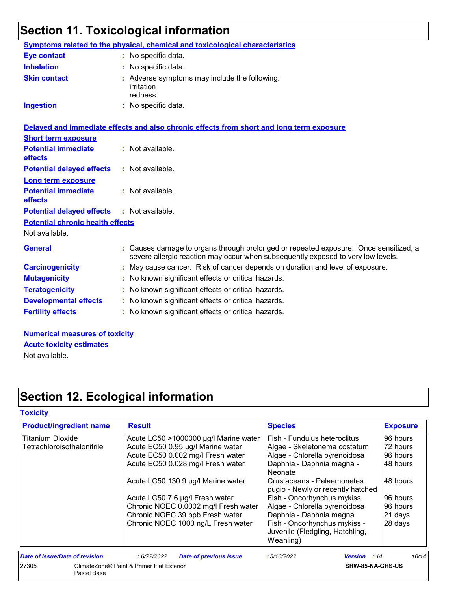# **Section 11. Toxicological information**

| Symptoms related to the physical, chemical and toxicological characteristics<br>: No specific data.<br>: No specific data.<br>: Adverse symptoms may include the following:<br>: No specific data.<br>Delayed and immediate effects and also chronic effects from short and long term exposure<br>: Not available. |
|--------------------------------------------------------------------------------------------------------------------------------------------------------------------------------------------------------------------------------------------------------------------------------------------------------------------|
|                                                                                                                                                                                                                                                                                                                    |
|                                                                                                                                                                                                                                                                                                                    |
|                                                                                                                                                                                                                                                                                                                    |
|                                                                                                                                                                                                                                                                                                                    |
|                                                                                                                                                                                                                                                                                                                    |
|                                                                                                                                                                                                                                                                                                                    |
|                                                                                                                                                                                                                                                                                                                    |
|                                                                                                                                                                                                                                                                                                                    |
| $:$ Not available.                                                                                                                                                                                                                                                                                                 |
|                                                                                                                                                                                                                                                                                                                    |
| : Not available.                                                                                                                                                                                                                                                                                                   |
| : Not available.                                                                                                                                                                                                                                                                                                   |
|                                                                                                                                                                                                                                                                                                                    |
|                                                                                                                                                                                                                                                                                                                    |
| : Causes damage to organs through prolonged or repeated exposure. Once sensitized, a<br>severe allergic reaction may occur when subsequently exposed to very low levels.                                                                                                                                           |
| : May cause cancer. Risk of cancer depends on duration and level of exposure.                                                                                                                                                                                                                                      |
| : No known significant effects or critical hazards.                                                                                                                                                                                                                                                                |
| : No known significant effects or critical hazards.                                                                                                                                                                                                                                                                |
| : No known significant effects or critical hazards.                                                                                                                                                                                                                                                                |
| : No known significant effects or critical hazards.                                                                                                                                                                                                                                                                |
|                                                                                                                                                                                                                                                                                                                    |

**Numerical measures of toxicity** Not available. **Acute toxicity estimates**

# **Section 12. Ecological information**

| <b>Product/ingredient name</b> | <b>Result</b>                               | <b>Species</b>                                                               | <b>Exposure</b> |
|--------------------------------|---------------------------------------------|------------------------------------------------------------------------------|-----------------|
| <b>Titanium Dioxide</b>        | Acute LC50 >1000000 µg/l Marine water       | Fish - Fundulus heteroclitus                                                 | 96 hours        |
| Tetrachloroisothalonitrile     | Acute EC50 0.95 µg/l Marine water           | Algae - Skeletonema costatum                                                 | 72 hours        |
|                                | Acute EC50 0.002 mg/l Fresh water           | Algae - Chlorella pyrenoidosa                                                | 96 hours        |
|                                | Acute EC50 0.028 mg/l Fresh water           | Daphnia - Daphnia magna -<br>Neonate                                         | 48 hours        |
|                                | Acute LC50 130.9 µg/l Marine water          | Crustaceans - Palaemonetes<br>pugio - Newly or recently hatched              | 48 hours        |
|                                | Acute LC50 7.6 µg/l Fresh water             | Fish - Oncorhynchus mykiss                                                   | 96 hours        |
|                                | Chronic NOEC 0.0002 mg/l Fresh water        | Algae - Chlorella pyrenoidosa                                                | 96 hours        |
|                                | Chronic NOEC 39 ppb Fresh water             | Daphnia - Daphnia magna                                                      | 21 days         |
|                                | Chronic NOEC 1000 ng/L Fresh water          | Fish - Oncorhynchus mykiss -<br>Juvenile (Fledgling, Hatchling,<br>Weanling) | 28 days         |
| Date of issue/Date of revision | :6/22/2022<br><b>Date of previous issue</b> | :5/10/2022<br><b>Version</b> : 14                                            | 10/14           |
| 27305<br>Pastel Base           | ClimateZone® Paint & Primer Flat Exterior   | SHW-85-NA-GHS-US                                                             |                 |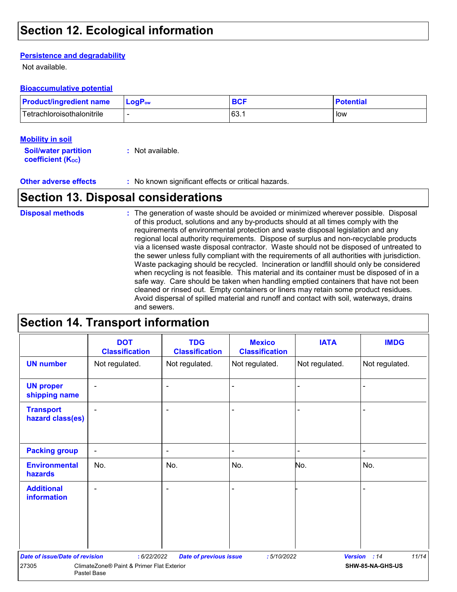### **Section 12. Ecological information**

#### **Persistence and degradability**

Not available.

#### **Bioaccumulative potential**

| <b>Product/ingredient name</b> | LogP <sub>ow</sub> | <b>BCF</b> | <b>Potential</b> |
|--------------------------------|--------------------|------------|------------------|
| Tetrachloroisothalonitrile     |                    | 63.        | low              |

#### **Mobility in soil**

| <b>Soil/water partition</b> | : Not available. |
|-----------------------------|------------------|
| <b>coefficient (Koc)</b>    |                  |

**Other adverse effects :** No known significant effects or critical hazards.

### **Section 13. Disposal considerations**

The generation of waste should be avoided or minimized wherever possible. Disposal of this product, solutions and any by-products should at all times comply with the requirements of environmental protection and waste disposal legislation and any regional local authority requirements. Dispose of surplus and non-recyclable products via a licensed waste disposal contractor. Waste should not be disposed of untreated to the sewer unless fully compliant with the requirements of all authorities with jurisdiction. Waste packaging should be recycled. Incineration or landfill should only be considered when recycling is not feasible. This material and its container must be disposed of in a safe way. Care should be taken when handling emptied containers that have not been cleaned or rinsed out. Empty containers or liners may retain some product residues. Avoid dispersal of spilled material and runoff and contact with soil, waterways, drains and sewers. **Disposal methods :**

### **Section 14. Transport information**

|                                       | <b>DOT</b><br><b>Classification</b>                      | <b>TDG</b><br><b>Classification</b> | <b>Mexico</b><br><b>Classification</b> | <b>IATA</b>    | <b>IMDG</b>           |
|---------------------------------------|----------------------------------------------------------|-------------------------------------|----------------------------------------|----------------|-----------------------|
| <b>UN number</b>                      | Not regulated.                                           | Not regulated.                      | Not regulated.                         | Not regulated. | Not regulated.        |
| <b>UN proper</b><br>shipping name     | $\blacksquare$                                           | $\overline{\phantom{a}}$            |                                        |                |                       |
| <b>Transport</b><br>hazard class(es)  |                                                          | ٠                                   |                                        |                |                       |
| <b>Packing group</b>                  | $\overline{\phantom{a}}$                                 | $\blacksquare$                      |                                        | $\blacksquare$ |                       |
| <b>Environmental</b><br>hazards       | No.                                                      | No.                                 | No.                                    | No.            | No.                   |
| <b>Additional</b><br>information      |                                                          |                                     |                                        |                |                       |
| <b>Date of issue/Date of revision</b> | : 6/22/2022                                              | <b>Date of previous issue</b>       | :5/10/2022                             |                | 11/14<br>Version : 14 |
| 27305                                 | ClimateZone® Paint & Primer Flat Exterior<br>Pastel Base |                                     |                                        |                | SHW-85-NA-GHS-US      |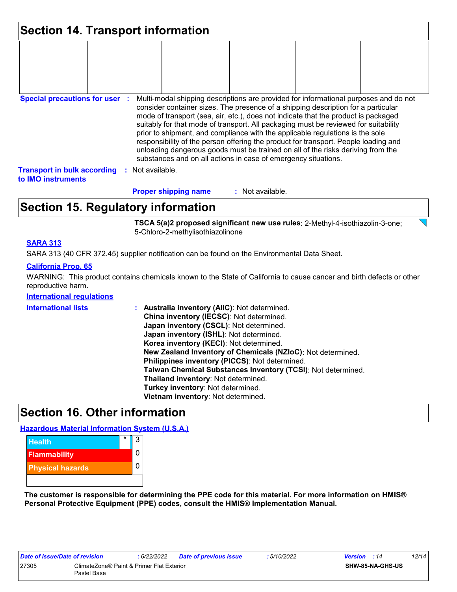| <b>Section 14. Transport information</b>                 |  |                  |                             |  |                                                                                                                                                                                                                                                                                                                                                                                                                                                                                                                                                                                                                                                                                     |  |  |
|----------------------------------------------------------|--|------------------|-----------------------------|--|-------------------------------------------------------------------------------------------------------------------------------------------------------------------------------------------------------------------------------------------------------------------------------------------------------------------------------------------------------------------------------------------------------------------------------------------------------------------------------------------------------------------------------------------------------------------------------------------------------------------------------------------------------------------------------------|--|--|
|                                                          |  |                  |                             |  |                                                                                                                                                                                                                                                                                                                                                                                                                                                                                                                                                                                                                                                                                     |  |  |
|                                                          |  |                  |                             |  |                                                                                                                                                                                                                                                                                                                                                                                                                                                                                                                                                                                                                                                                                     |  |  |
| <b>Special precautions for user :</b>                    |  |                  |                             |  | Multi-modal shipping descriptions are provided for informational purposes and do not<br>consider container sizes. The presence of a shipping description for a particular<br>mode of transport (sea, air, etc.), does not indicate that the product is packaged<br>suitably for that mode of transport. All packaging must be reviewed for suitability<br>prior to shipment, and compliance with the applicable regulations is the sole<br>responsibility of the person offering the product for transport. People loading and<br>unloading dangerous goods must be trained on all of the risks deriving from the<br>substances and on all actions in case of emergency situations. |  |  |
| <b>Transport in bulk according</b><br>to IMO instruments |  | : Not available. |                             |  |                                                                                                                                                                                                                                                                                                                                                                                                                                                                                                                                                                                                                                                                                     |  |  |
|                                                          |  |                  | <b>Proper shipping name</b> |  | : Not available.                                                                                                                                                                                                                                                                                                                                                                                                                                                                                                                                                                                                                                                                    |  |  |

### **Section 15. Regulatory information**

**TSCA 5(a)2 proposed significant new use rules**: 2-Methyl-4-isothiazolin-3-one; 5-Chloro-2-methylisothiazolinone

#### **SARA 313**

SARA 313 (40 CFR 372.45) supplier notification can be found on the Environmental Data Sheet.

#### **California Prop. 65**

WARNING: This product contains chemicals known to the State of California to cause cancer and birth defects or other reproductive harm.

#### **International regulations**

| <b>International lists</b> | <b>Australia inventory (AIIC): Not determined.</b><br>China inventory (IECSC): Not determined.<br>Japan inventory (CSCL): Not determined.<br>Japan inventory (ISHL): Not determined.<br>Korea inventory (KECI): Not determined.<br>New Zealand Inventory of Chemicals (NZIoC): Not determined.<br>Philippines inventory (PICCS): Not determined.<br>Taiwan Chemical Substances Inventory (TCSI): Not determined.<br>Thailand inventory: Not determined.<br>Turkey inventory: Not determined. |
|----------------------------|----------------------------------------------------------------------------------------------------------------------------------------------------------------------------------------------------------------------------------------------------------------------------------------------------------------------------------------------------------------------------------------------------------------------------------------------------------------------------------------------|
|                            | Vietnam inventory: Not determined.                                                                                                                                                                                                                                                                                                                                                                                                                                                           |
|                            |                                                                                                                                                                                                                                                                                                                                                                                                                                                                                              |

### **Section 16. Other information**

**Hazardous Material Information System (U.S.A.)**



**The customer is responsible for determining the PPE code for this material. For more information on HMIS® Personal Protective Equipment (PPE) codes, consult the HMIS® Implementation Manual.**

| Date of issue/Date of revision                                    |  | 6/22/2022 | <b>Date of previous issue</b> | : 5/10/2022 | <b>Version</b> : 14 |                  | 12/14 |
|-------------------------------------------------------------------|--|-----------|-------------------------------|-------------|---------------------|------------------|-------|
| 27305<br>ClimateZone® Paint & Primer Flat Exterior<br>Pastel Base |  |           |                               |             |                     | SHW-85-NA-GHS-US |       |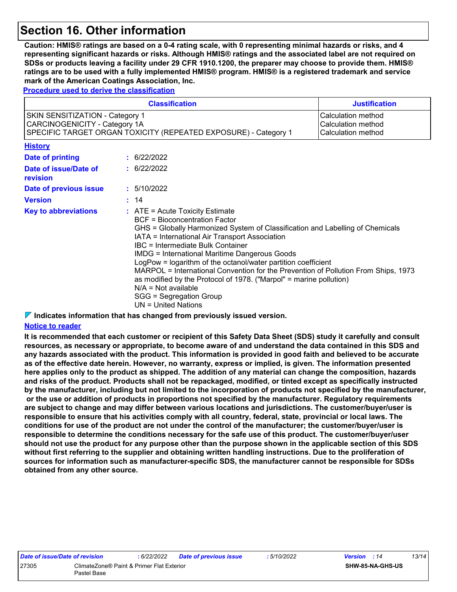### **Section 16. Other information**

**Caution: HMIS® ratings are based on a 0-4 rating scale, with 0 representing minimal hazards or risks, and 4 representing significant hazards or risks. Although HMIS® ratings and the associated label are not required on SDSs or products leaving a facility under 29 CFR 1910.1200, the preparer may choose to provide them. HMIS® ratings are to be used with a fully implemented HMIS® program. HMIS® is a registered trademark and service mark of the American Coatings Association, Inc.**

**Procedure used to derive the classification**

|                                                                                                                                                                                                              | <b>Justification</b> |                                                                                                                                                                                                                                                                                                                                                                                                                                                                                                                                                                                                                            |  |
|--------------------------------------------------------------------------------------------------------------------------------------------------------------------------------------------------------------|----------------------|----------------------------------------------------------------------------------------------------------------------------------------------------------------------------------------------------------------------------------------------------------------------------------------------------------------------------------------------------------------------------------------------------------------------------------------------------------------------------------------------------------------------------------------------------------------------------------------------------------------------------|--|
| <b>SKIN SENSITIZATION - Category 1</b><br>Calculation method<br>CARCINOGENICITY - Category 1A<br>Calculation method<br>SPECIFIC TARGET ORGAN TOXICITY (REPEATED EXPOSURE) - Category 1<br>Calculation method |                      |                                                                                                                                                                                                                                                                                                                                                                                                                                                                                                                                                                                                                            |  |
| <b>History</b>                                                                                                                                                                                               |                      |                                                                                                                                                                                                                                                                                                                                                                                                                                                                                                                                                                                                                            |  |
| <b>Date of printing</b>                                                                                                                                                                                      |                      | : 6/22/2022                                                                                                                                                                                                                                                                                                                                                                                                                                                                                                                                                                                                                |  |
| Date of issue/Date of<br>revision                                                                                                                                                                            |                      | : 6/22/2022                                                                                                                                                                                                                                                                                                                                                                                                                                                                                                                                                                                                                |  |
| Date of previous issue                                                                                                                                                                                       |                      | : 5/10/2022                                                                                                                                                                                                                                                                                                                                                                                                                                                                                                                                                                                                                |  |
| <b>Version</b>                                                                                                                                                                                               |                      | : 14                                                                                                                                                                                                                                                                                                                                                                                                                                                                                                                                                                                                                       |  |
| <b>Key to abbreviations</b>                                                                                                                                                                                  |                      | $:$ ATE = Acute Toxicity Estimate<br><b>BCF</b> = Bioconcentration Factor<br>GHS = Globally Harmonized System of Classification and Labelling of Chemicals<br>IATA = International Air Transport Association<br><b>IBC</b> = Intermediate Bulk Container<br><b>IMDG = International Maritime Dangerous Goods</b><br>LogPow = logarithm of the octanol/water partition coefficient<br>MARPOL = International Convention for the Prevention of Pollution From Ships, 1973<br>as modified by the Protocol of 1978. ("Marpol" = marine pollution)<br>$N/A = Not available$<br>SGG = Segregation Group<br>$UN = United Nations$ |  |

#### **Indicates information that has changed from previously issued version.**

#### **Notice to reader**

**It is recommended that each customer or recipient of this Safety Data Sheet (SDS) study it carefully and consult resources, as necessary or appropriate, to become aware of and understand the data contained in this SDS and any hazards associated with the product. This information is provided in good faith and believed to be accurate as of the effective date herein. However, no warranty, express or implied, is given. The information presented here applies only to the product as shipped. The addition of any material can change the composition, hazards and risks of the product. Products shall not be repackaged, modified, or tinted except as specifically instructed by the manufacturer, including but not limited to the incorporation of products not specified by the manufacturer, or the use or addition of products in proportions not specified by the manufacturer. Regulatory requirements are subject to change and may differ between various locations and jurisdictions. The customer/buyer/user is responsible to ensure that his activities comply with all country, federal, state, provincial or local laws. The conditions for use of the product are not under the control of the manufacturer; the customer/buyer/user is responsible to determine the conditions necessary for the safe use of this product. The customer/buyer/user should not use the product for any purpose other than the purpose shown in the applicable section of this SDS without first referring to the supplier and obtaining written handling instructions. Due to the proliferation of sources for information such as manufacturer-specific SDS, the manufacturer cannot be responsible for SDSs obtained from any other source.**